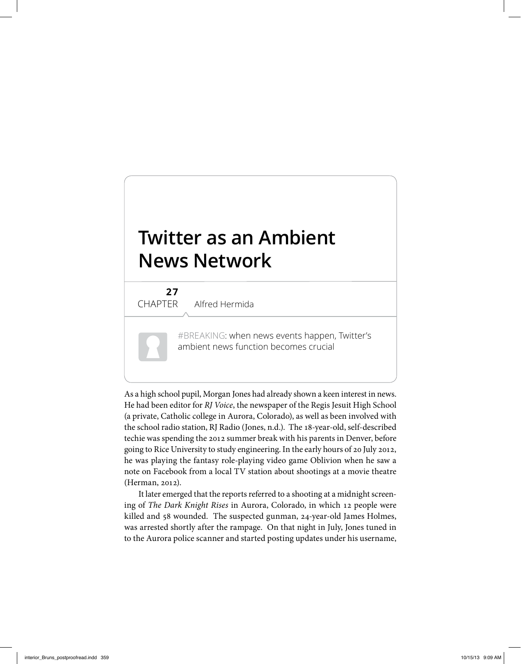# **Twitter as an Ambient News Network**

**CHAPTER**  $\lambda$ **2 7**

Alfred hermida

#BREAKING: when news events happen, Twitter's ambient news function becomes crucial

As a high school pupil, Morgan Jones had already shown a keen interest in news. He had been editor for *RJ Voice*, the newspaper of the Regis Jesuit High School (a private, Catholic college in Aurora, Colorado), as well as been involved with the school radio station, RJ Radio (Jones, n.d.). The 18-year-old, self-described techie was spending the 2012 summer break with his parents in Denver, before going to Rice University to study engineering. In the early hours of 20 July 2012, he was playing the fantasy role-playing video game Oblivion when he saw a note on Facebook from a local TV station about shootings at a movie theatre (Herman, 2012).

It later emerged that the reports referred to a shooting at a midnight screening of *The Dark Knight Rises* in Aurora, Colorado, in which 12 people were killed and 58 wounded. The suspected gunman, 24-year-old James Holmes, was arrested shortly after the rampage. On that night in July, Jones tuned in to the Aurora police scanner and started posting updates under his username,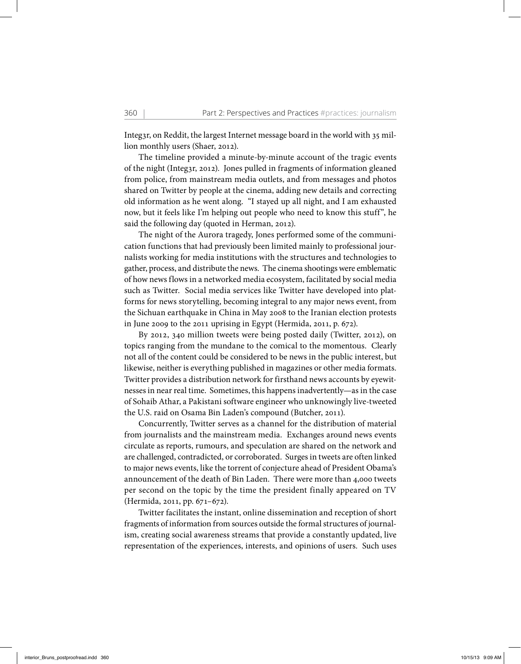Integ3r, on Reddit, the largest Internet message board in the world with 35 million monthly users (Shaer, 2012).

The timeline provided a minute-by-minute account of the tragic events of the night (Integ3r, 2012). Jones pulled in fragments of information gleaned from police, from mainstream media outlets, and from messages and photos shared on Twitter by people at the cinema, adding new details and correcting old information as he went along. "I stayed up all night, and I am exhausted now, but it feels like I'm helping out people who need to know this stuff", he said the following day (quoted in Herman, 2012).

The night of the Aurora tragedy, Jones performed some of the communication functions that had previously been limited mainly to professional journalists working for media institutions with the structures and technologies to gather, process, and distribute the news. The cinema shootings were emblematic of how news flows in a networked media ecosystem, facilitated by social media such as Twitter. Social media services like Twitter have developed into platforms for news storytelling, becoming integral to any major news event, from the Sichuan earthquake in China in May 2008 to the Iranian election protests in June 2009 to the 2011 uprising in Egypt (Hermida, 2011, p. 672).

By 2012, 340 million tweets were being posted daily (Twitter, 2012), on topics ranging from the mundane to the comical to the momentous. Clearly not all of the content could be considered to be news in the public interest, but likewise, neither is everything published in magazines or other media formats. Twitter provides a distribution network for firsthand news accounts by eyewitnesses in near real time. Sometimes, this happens inadvertently—as in the case of Sohaib Athar, a Pakistani software engineer who unknowingly live-tweeted the U.S. raid on Osama Bin Laden's compound (Butcher, 2011).

Concurrently, Twitter serves as a channel for the distribution of material from journalists and the mainstream media. Exchanges around news events circulate as reports, rumours, and speculation are shared on the network and are challenged, contradicted, or corroborated. Surges in tweets are often linked to major news events, like the torrent of conjecture ahead of President Obama's announcement of the death of Bin Laden. There were more than 4,000 tweets per second on the topic by the time the president finally appeared on TV (Hermida, 2011, pp. 671–672).

Twitter facilitates the instant, online dissemination and reception of short fragments of information from sources outside the formal structures of journalism, creating social awareness streams that provide a constantly updated, live representation of the experiences, interests, and opinions of users. Such uses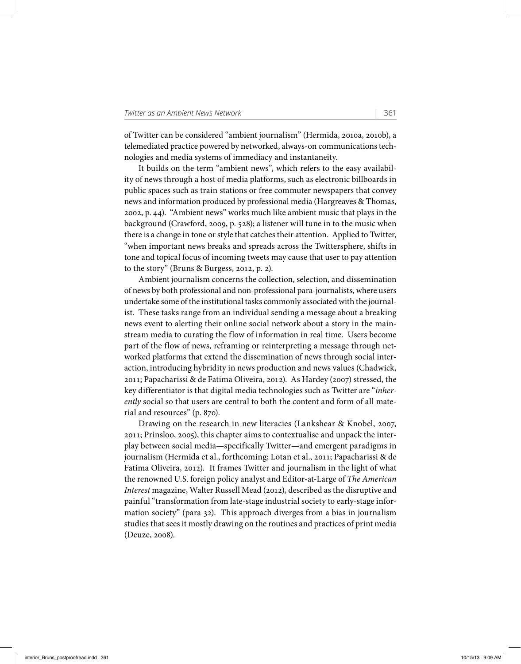of Twitter can be considered "ambient journalism" (Hermida, 2010a, 2010b), a telemediated practice powered by networked, always-on communications technologies and media systems of immediacy and instantaneity.

It builds on the term "ambient news", which refers to the easy availability of news through a host of media platforms, such as electronic billboards in public spaces such as train stations or free commuter newspapers that convey news and information produced by professional media (Hargreaves & Thomas, 2002, p. 44). "Ambient news" works much like ambient music that plays in the background (Crawford, 2009, p. 528); a listener will tune in to the music when there is a change in tone or style that catches their attention. Applied to Twitter, "when important news breaks and spreads across the Twittersphere, shifts in tone and topical focus of incoming tweets may cause that user to pay attention to the story" (Bruns & Burgess, 2012, p. 2).

Ambient journalism concerns the collection, selection, and dissemination of news by both professional and non-professional para-journalists, where users undertake some of the institutional tasks commonly associated with the journalist. These tasks range from an individual sending a message about a breaking news event to alerting their online social network about a story in the mainstream media to curating the flow of information in real time. Users become part of the flow of news, reframing or reinterpreting a message through networked platforms that extend the dissemination of news through social interaction, introducing hybridity in news production and news values (Chadwick, 2011; Papacharissi & de Fatima Oliveira, 2012). As Hardey (2007) stressed, the key differentiator is that digital media technologies such as Twitter are "*inherently* social so that users are central to both the content and form of all material and resources" (p. 870).

Drawing on the research in new literacies (Lankshear & Knobel, 2007, 2011; Prinsloo, 2005), this chapter aims to contextualise and unpack the interplay between social media—specifically Twitter—and emergent paradigms in journalism (Hermida et al., forthcoming; Lotan et al., 2011; Papacharissi & de Fatima Oliveira, 2012). It frames Twitter and journalism in the light of what the renowned U.S. foreign policy analyst and Editor-at-Large of *The American Interest* magazine, Walter Russell Mead (2012), described as the disruptive and painful "transformation from late-stage industrial society to early-stage information society" (para 32). This approach diverges from a bias in journalism studies that sees it mostly drawing on the routines and practices of print media (Deuze, 2008).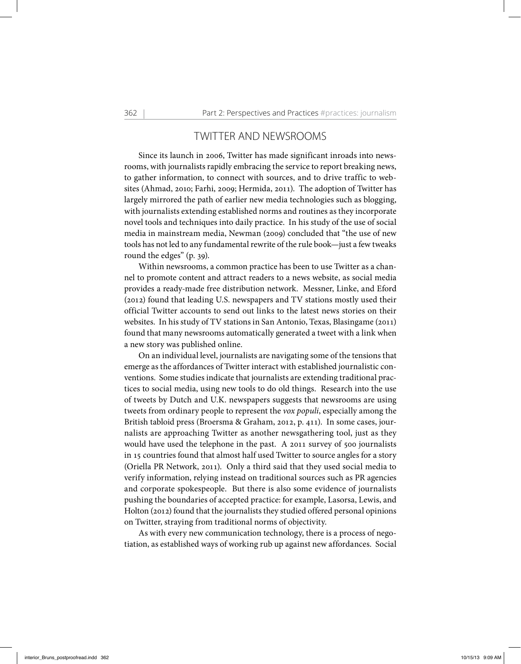### TWITTER AND NEWSROOMS

Since its launch in 2006, Twitter has made significant inroads into newsrooms, with journalists rapidly embracing the service to report breaking news, to gather information, to connect with sources, and to drive traffic to websites (Ahmad, 2010; Farhi, 2009; Hermida, 2011). The adoption of Twitter has largely mirrored the path of earlier new media technologies such as blogging, with journalists extending established norms and routines as they incorporate novel tools and techniques into daily practice. In his study of the use of social media in mainstream media, Newman (2009) concluded that "the use of new tools has not led to any fundamental rewrite of the rule book—just a few tweaks round the edges" (p. 39).

Within newsrooms, a common practice has been to use Twitter as a channel to promote content and attract readers to a news website, as social media provides a ready-made free distribution network. Messner, Linke, and Eford (2012) found that leading U.S. newspapers and TV stations mostly used their official Twitter accounts to send out links to the latest news stories on their websites. In his study of TV stations in San Antonio, Texas, Blasingame (2011) found that many newsrooms automatically generated a tweet with a link when a new story was published online.

On an individual level, journalists are navigating some of the tensions that emerge as the affordances of Twitter interact with established journalistic conventions. Some studies indicate that journalists are extending traditional practices to social media, using new tools to do old things. Research into the use of tweets by Dutch and U.K. newspapers suggests that newsrooms are using tweets from ordinary people to represent the *vox populi*, especially among the British tabloid press (Broersma & Graham, 2012, p. 411). In some cases, journalists are approaching Twitter as another newsgathering tool, just as they would have used the telephone in the past. A 2011 survey of 500 journalists in 15 countries found that almost half used Twitter to source angles for a story (Oriella PR Network, 2011). Only a third said that they used social media to verify information, relying instead on traditional sources such as PR agencies and corporate spokespeople. But there is also some evidence of journalists pushing the boundaries of accepted practice: for example, Lasorsa, Lewis, and Holton (2012) found that the journalists they studied offered personal opinions on Twitter, straying from traditional norms of objectivity.

As with every new communication technology, there is a process of negotiation, as established ways of working rub up against new affordances. Social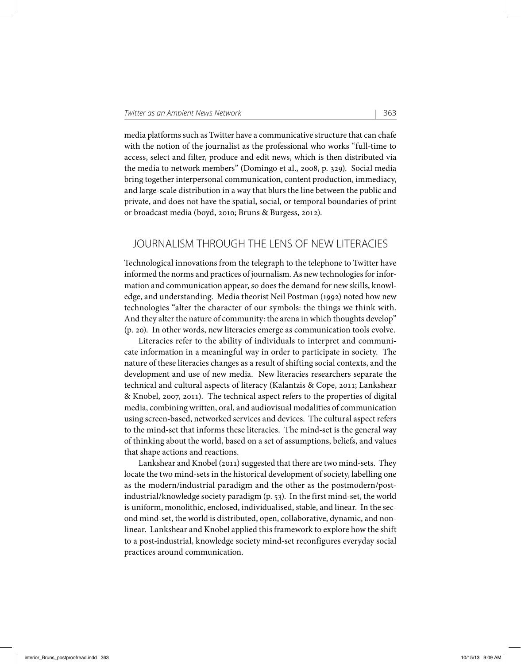media platforms such as Twitter have a communicative structure that can chafe with the notion of the journalist as the professional who works "full-time to access, select and filter, produce and edit news, which is then distributed via the media to network members" (Domingo et al., 2008, p. 329). Social media bring together interpersonal communication, content production, immediacy, and large-scale distribution in a way that blurs the line between the public and private, and does not have the spatial, social, or temporal boundaries of print or broadcast media (boyd, 2010; Bruns & Burgess, 2012).

### JOURNALISM THROUGH THE LENS OF NEW LITERACIES

Technological innovations from the telegraph to the telephone to Twitter have informed the norms and practices of journalism. As new technologies for information and communication appear, so does the demand for new skills, knowledge, and understanding. Media theorist Neil Postman (1992) noted how new technologies "alter the character of our symbols: the things we think with. And they alter the nature of community: the arena in which thoughts develop" (p. 20). In other words, new literacies emerge as communication tools evolve.

Literacies refer to the ability of individuals to interpret and communicate information in a meaningful way in order to participate in society. The nature of these literacies changes as a result of shifting social contexts, and the development and use of new media. New literacies researchers separate the technical and cultural aspects of literacy (Kalantzis & Cope, 2011; Lankshear & Knobel, 2007, 2011). The technical aspect refers to the properties of digital media, combining written, oral, and audiovisual modalities of communication using screen-based, networked services and devices. The cultural aspect refers to the mind-set that informs these literacies. The mind-set is the general way of thinking about the world, based on a set of assumptions, beliefs, and values that shape actions and reactions.

Lankshear and Knobel (2011) suggested that there are two mind-sets. They locate the two mind-sets in the historical development of society, labelling one as the modern/industrial paradigm and the other as the postmodern/postindustrial/knowledge society paradigm (p. 53). In the first mind-set, the world is uniform, monolithic, enclosed, individualised, stable, and linear. In the second mind-set, the world is distributed, open, collaborative, dynamic, and nonlinear. Lankshear and Knobel applied this framework to explore how the shift to a post-industrial, knowledge society mind-set reconfigures everyday social practices around communication.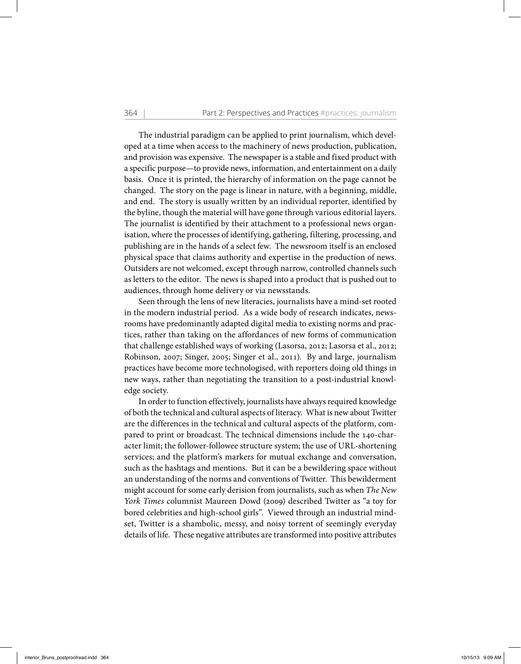The industrial paradigm can be applied to print journalism, which developed at a time when access to the machinery of news production, publication, and provision was expensive. The newspaper is a stable and fixed product with a specific purpose—to provide news, information, and entertainment on a daily basis. Once it is printed, the hierarchy of information on the page cannot be changed. The story on the page is linear in nature, with a beginning, middle, and end. The story is usually written by an individual reporter, identified by the byline, though the material will have gone through various editorial layers. The journalist is identified by their attachment to a professional news organisation, where the processes of identifying, gathering, filtering, processing, and publishing are in the hands of a select few. The newsroom itself is an enclosed physical space that claims authority and expertise in the production of news. Outsiders are not welcomed, except through narrow, controlled channels such as letters to the editor. The news is shaped into a product that is pushed out to audiences, through home delivery or via newsstands.

Seen through the lens of new literacies, journalists have a mind-set rooted in the modern industrial period. As a wide body of research indicates, newsrooms have predominantly adapted digital media to existing norms and practices, rather than taking on the affordances of new forms of communication that challenge established ways of working (Lasorsa, 2012; Lasorsa et al., 2012; Robinson, 2007; Singer, 2005; Singer et al., 2011). By and large, journalism practices have become more technologised, with reporters doing old things in new ways, rather than negotiating the transition to a post-industrial knowledge society.

In order to function effectively, journalists have always required knowledge of both the technical and cultural aspects of literacy. What is new about Twitter are the differences in the technical and cultural aspects of the platform, compared to print or broadcast. The technical dimensions include the 140-character limit; the follower-followee structure system; the use of URL-shortening services; and the platform's markers for mutual exchange and conversation, such as the hashtags and mentions. But it can be a bewildering space without an understanding of the norms and conventions of Twitter. This bewilderment might account for some early derision from journalists, such as when *The New York Times* columnist Maureen Dowd (2009) described Twitter as "a toy for bored celebrities and high-school girls". Viewed through an industrial mindset, Twitter is a shambolic, messy, and noisy torrent of seemingly everyday details of life. These negative attributes are transformed into positive attributes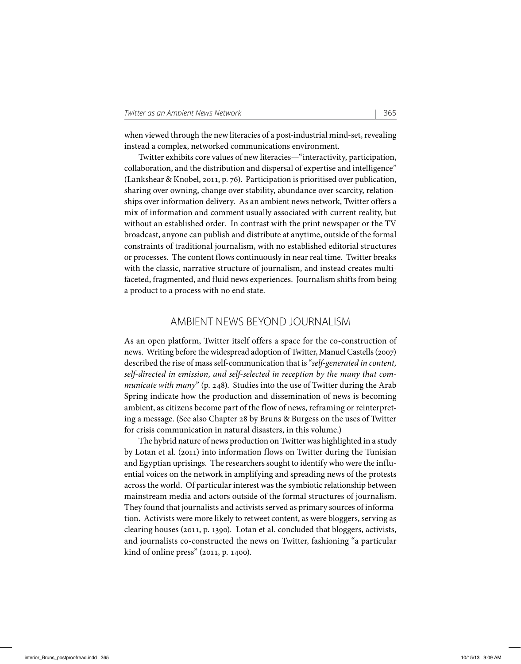when viewed through the new literacies of a post-industrial mind-set, revealing instead a complex, networked communications environment.

Twitter exhibits core values of new literacies—"interactivity, participation, collaboration, and the distribution and dispersal of expertise and intelligence" (Lankshear & Knobel, 2011, p. 76). Participation is prioritised over publication, sharing over owning, change over stability, abundance over scarcity, relationships over information delivery. As an ambient news network, Twitter offers a mix of information and comment usually associated with current reality, but without an established order. In contrast with the print newspaper or the TV broadcast, anyone can publish and distribute at anytime, outside of the formal constraints of traditional journalism, with no established editorial structures or processes. The content flows continuously in near real time. Twitter breaks with the classic, narrative structure of journalism, and instead creates multifaceted, fragmented, and fluid news experiences. Journalism shifts from being a product to a process with no end state.

#### AMBIENT NEWS BEYOND JOURNALISM

As an open platform, Twitter itself offers a space for the co-construction of news. Writing before the widespread adoption of Twitter, Manuel Castells (2007) described the rise of mass self-communication that is "*self-generated in content, self-directed in emission, and self-selected in reception by the many that communicate with many*" (p. 248). Studies into the use of Twitter during the Arab Spring indicate how the production and dissemination of news is becoming ambient, as citizens become part of the flow of news, reframing or reinterpreting a message. (See also Chapter 28 by Bruns & Burgess on the uses of Twitter for crisis communication in natural disasters, in this volume.)

The hybrid nature of news production on Twitter was highlighted in a study by Lotan et al. (2011) into information flows on Twitter during the Tunisian and Egyptian uprisings. The researchers sought to identify who were the influential voices on the network in amplifying and spreading news of the protests across the world. Of particular interest was the symbiotic relationship between mainstream media and actors outside of the formal structures of journalism. They found that journalists and activists served as primary sources of information. Activists were more likely to retweet content, as were bloggers, serving as clearing houses (2011, p. 1390). Lotan et al. concluded that bloggers, activists, and journalists co-constructed the news on Twitter, fashioning "a particular kind of online press" (2011, p. 1400).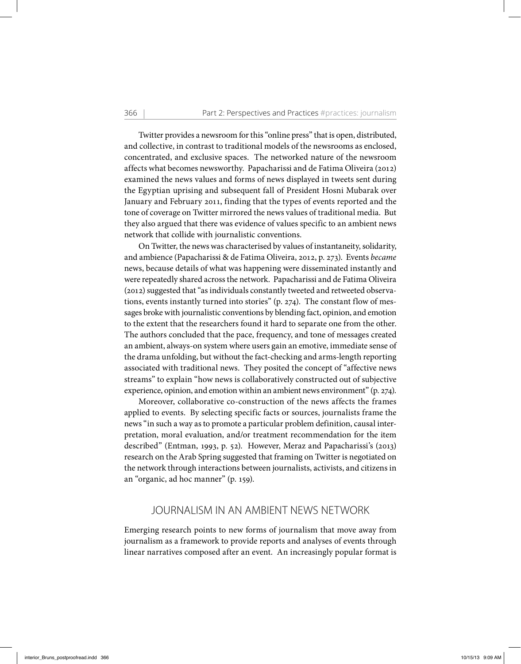Twitter provides a newsroom for this "online press" that is open, distributed, and collective, in contrast to traditional models of the newsrooms as enclosed, concentrated, and exclusive spaces. The networked nature of the newsroom affects what becomes newsworthy. Papacharissi and de Fatima Oliveira (2012) examined the news values and forms of news displayed in tweets sent during the Egyptian uprising and subsequent fall of President Hosni Mubarak over January and February 2011, finding that the types of events reported and the tone of coverage on Twitter mirrored the news values of traditional media. But they also argued that there was evidence of values specific to an ambient news network that collide with journalistic conventions.

On Twitter, the news was characterised by values of instantaneity, solidarity, and ambience (Papacharissi & de Fatima Oliveira, 2012, p. 273). Events *became* news, because details of what was happening were disseminated instantly and were repeatedly shared across the network. Papacharissi and de Fatima Oliveira (2012) suggested that "as individuals constantly tweeted and retweeted observations, events instantly turned into stories" (p. 274). The constant flow of messages broke with journalistic conventions by blending fact, opinion, and emotion to the extent that the researchers found it hard to separate one from the other. The authors concluded that the pace, frequency, and tone of messages created an ambient, always-on system where users gain an emotive, immediate sense of the drama unfolding, but without the fact-checking and arms-length reporting associated with traditional news. They posited the concept of "affective news streams" to explain "how news is collaboratively constructed out of subjective experience, opinion, and emotion within an ambient news environment" (p. 274).

Moreover, collaborative co-construction of the news affects the frames applied to events. By selecting specific facts or sources, journalists frame the news "in such a way as to promote a particular problem definition, causal interpretation, moral evaluation, and/or treatment recommendation for the item described" (Entman, 1993, p. 52). However, Meraz and Papacharissi's (2013) research on the Arab Spring suggested that framing on Twitter is negotiated on the network through interactions between journalists, activists, and citizens in an "organic, ad hoc manner" (p. 159).

## JOURNALISM IN AN AMBIENT NEWS NETWORK

Emerging research points to new forms of journalism that move away from journalism as a framework to provide reports and analyses of events through linear narratives composed after an event. An increasingly popular format is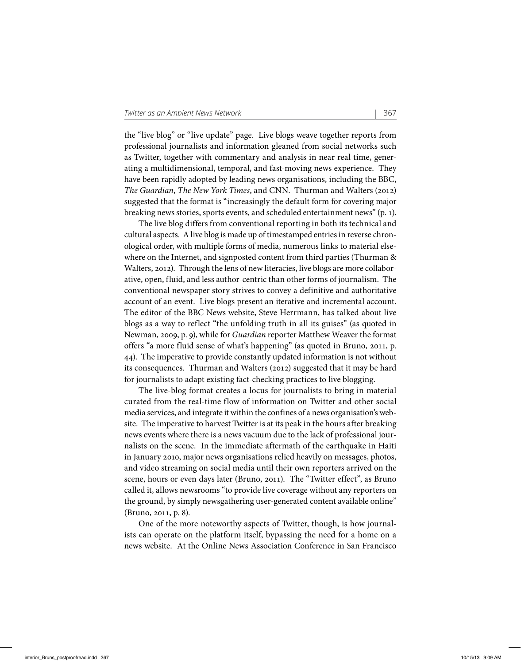the "live blog" or "live update" page. Live blogs weave together reports from professional journalists and information gleaned from social networks such as Twitter, together with commentary and analysis in near real time, generating a multidimensional, temporal, and fast-moving news experience. They have been rapidly adopted by leading news organisations, including the BBC, *The Guardian*, *The New York Times*, and CNN. Thurman and Walters (2012) suggested that the format is "increasingly the default form for covering major breaking news stories, sports events, and scheduled entertainment news" (p. 1).

The live blog differs from conventional reporting in both its technical and cultural aspects. A live blog is made up of timestamped entries in reverse chronological order, with multiple forms of media, numerous links to material elsewhere on the Internet, and signposted content from third parties (Thurman & Walters, 2012). Through the lens of new literacies, live blogs are more collaborative, open, fluid, and less author-centric than other forms of journalism. The conventional newspaper story strives to convey a definitive and authoritative account of an event. Live blogs present an iterative and incremental account. The editor of the BBC News website, Steve Herrmann, has talked about live blogs as a way to reflect "the unfolding truth in all its guises" (as quoted in Newman, 2009, p. 9), while for *Guardian* reporter Matthew Weaver the format offers "a more fluid sense of what's happening" (as quoted in Bruno, 2011, p. 44). The imperative to provide constantly updated information is not without its consequences. Thurman and Walters (2012) suggested that it may be hard for journalists to adapt existing fact-checking practices to live blogging.

The live-blog format creates a locus for journalists to bring in material curated from the real-time flow of information on Twitter and other social media services, and integrate it within the confines of a news organisation's website. The imperative to harvest Twitter is at its peak in the hours after breaking news events where there is a news vacuum due to the lack of professional journalists on the scene. In the immediate aftermath of the earthquake in Haiti in January 2010, major news organisations relied heavily on messages, photos, and video streaming on social media until their own reporters arrived on the scene, hours or even days later (Bruno, 2011). The "Twitter effect", as Bruno called it, allows newsrooms "to provide live coverage without any reporters on the ground, by simply newsgathering user-generated content available online" (Bruno, 2011, p. 8).

One of the more noteworthy aspects of Twitter, though, is how journalists can operate on the platform itself, bypassing the need for a home on a news website. At the Online News Association Conference in San Francisco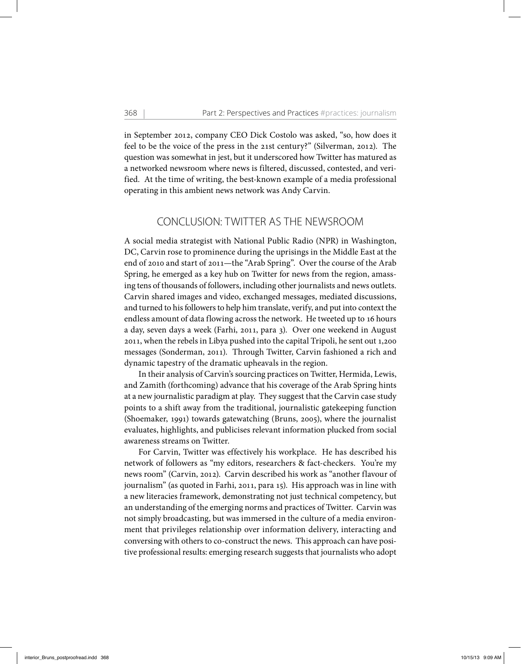in September 2012, company CEO Dick Costolo was asked, "so, how does it feel to be the voice of the press in the 21st century?" (Silverman, 2012). The question was somewhat in jest, but it underscored how Twitter has matured as a networked newsroom where news is filtered, discussed, contested, and verified. At the time of writing, the best-known example of a media professional operating in this ambient news network was Andy Carvin.

#### CONCLUSION: TWITTER AS THE NEWSROOM

A social media strategist with National Public Radio (NPR) in Washington, DC, Carvin rose to prominence during the uprisings in the Middle East at the end of 2010 and start of 2011—the "Arab Spring". Over the course of the Arab Spring, he emerged as a key hub on Twitter for news from the region, amassing tens of thousands of followers, including other journalists and news outlets. Carvin shared images and video, exchanged messages, mediated discussions, and turned to his followers to help him translate, verify, and put into context the endless amount of data flowing across the network. He tweeted up to 16 hours a day, seven days a week (Farhi, 2011, para 3). Over one weekend in August 2011, when the rebels in Libya pushed into the capital Tripoli, he sent out 1,200 messages (Sonderman, 2011). Through Twitter, Carvin fashioned a rich and dynamic tapestry of the dramatic upheavals in the region.

In their analysis of Carvin's sourcing practices on Twitter, Hermida, Lewis, and Zamith (forthcoming) advance that his coverage of the Arab Spring hints at a new journalistic paradigm at play. They suggest that the Carvin case study points to a shift away from the traditional, journalistic gatekeeping function (Shoemaker, 1991) towards gatewatching (Bruns, 2005), where the journalist evaluates, highlights, and publicises relevant information plucked from social awareness streams on Twitter.

For Carvin, Twitter was effectively his workplace. He has described his network of followers as "my editors, researchers & fact-checkers. You're my news room" (Carvin, 2012). Carvin described his work as "another flavour of journalism" (as quoted in Farhi, 2011, para 15). His approach was in line with a new literacies framework, demonstrating not just technical competency, but an understanding of the emerging norms and practices of Twitter. Carvin was not simply broadcasting, but was immersed in the culture of a media environment that privileges relationship over information delivery, interacting and conversing with others to co-construct the news. This approach can have positive professional results: emerging research suggests that journalists who adopt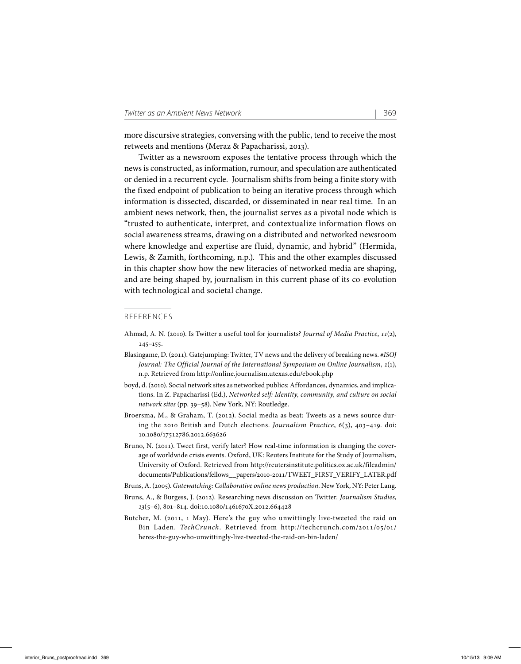more discursive strategies, conversing with the public, tend to receive the most retweets and mentions (Meraz & Papacharissi, 2013).

Twitter as a newsroom exposes the tentative process through which the news is constructed, as information, rumour, and speculation are authenticated or denied in a recurrent cycle. Journalism shifts from being a finite story with the fixed endpoint of publication to being an iterative process through which information is dissected, discarded, or disseminated in near real time. In an ambient news network, then, the journalist serves as a pivotal node which is "trusted to authenticate, interpret, and contextualize information flows on social awareness streams, drawing on a distributed and networked newsroom where knowledge and expertise are fluid, dynamic, and hybrid" (Hermida, Lewis, & Zamith, forthcoming, n.p.). This and the other examples discussed in this chapter show how the new literacies of networked media are shaping, and are being shaped by, journalism in this current phase of its co-evolution with technological and societal change.

#### **REFERENCES**

- Ahmad, A. N. (2010). Is Twitter a useful tool for journalists? *Journal of Media Practice*, 11(2), 145–155.
- Blasingame, D. (2011). Gatejumping: Twitter, TV news and the delivery of breaking news. #*ISOJ Journal: The Official Journal of the International Symposium on Online Journalism*, 1(1), n.p. Retrieved from http://online.journalism.utexas.edu/ebook.php
- boyd, d. (2010). Social network sites as networked publics: Affordances, dynamics, and implications. In Z. Papacharissi (Ed.), *Networked self: Identity, community, and culture on social network sites* (pp. 39–58). New York, NY: Routledge.
- Broersma, M., & Graham, T. (2012). Social media as beat: Tweets as a news source during the 2010 British and Dutch elections. *Journalism Practice*, 6(3), 403–419. doi: 10.1080/17512786.2012.663626
- Bruno, N. (2011). Tweet first, verify later? How real-time information is changing the coverage of worldwide crisis events. Oxford, UK: Reuters Institute for the Study of Journalism, University of Oxford. Retrieved from http://reutersinstitute.politics.ox.ac.uk/fileadmin/ documents/Publications/fellows\_\_papers/2010-2011/TWEET\_FIRST\_VERIFY\_LATER.pdf
- Bruns, A. (2005). *Gatewatching: Collaborative online news production*. New York, NY: Peter Lang.
- Bruns, A., & Burgess, J. (2012). Researching news discussion on Twitter. *Journalism Studies*, 13(5–6), 801–814. doi:10.1080/1461670X.2012.664428
- Butcher, M. (2011, 1 May). Here's the guy who unwittingly live-tweeted the raid on Bin Laden. *TechCrunch*. Retrieved from http://techcrunch.com/2011/05/01/ heres-the-guy-who-unwittingly-live-tweeted-the-raid-on-bin-laden/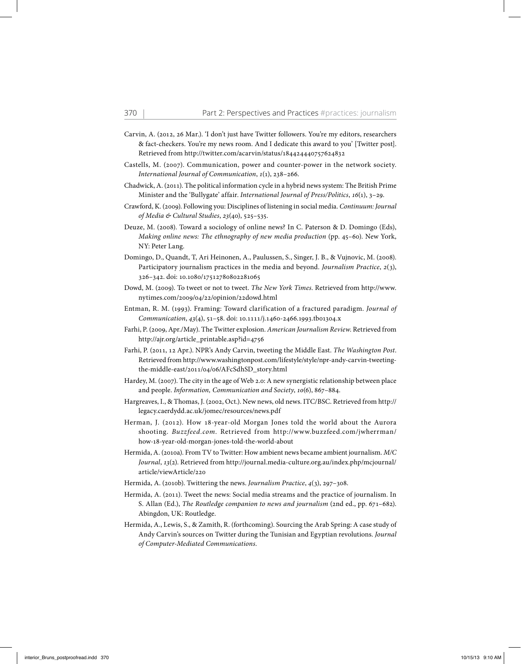- Carvin, A. (2012, 26 Mar.). 'I don't just have Twitter followers. You're my editors, researchers & fact-checkers. You're my news room. And I dedicate this award to you' [Twitter post]. Retrieved from http://twitter.com/acarvin/status/184424440757624832
- Castells, M. (2007). Communication, power and counter-power in the network society. *International Journal of Communication*, 1(1), 238–266.
- Chadwick, A. (2011). The political information cycle in a hybrid news system: The British Prime Minister and the 'Bullygate' affair. *International Journal of Press/Politics*, 16(1), 3–29.
- Crawford, K. (2009). Following you: Disciplines of listening in social media. *Continuum: Journal of Media & Cultural Studies*, 23(40), 525–535.
- Deuze, M. (2008). Toward a sociology of online news? In C. Paterson & D. Domingo (Eds), *Making online news: The ethnography of new media production* (pp. 45–60). New York, NY: Peter Lang.
- Domingo, D., Quandt, T, Ari Heinonen, A., Paulussen, S., Singer, J. B., & Vujnovic, M. (2008). Participatory journalism practices in the media and beyond. *Journalism Practice*, 2(3), 326–342. doi: 10.1080/17512780802281065
- Dowd, M. (2009). To tweet or not to tweet. *The New York Times*. Retrieved from http://www. nytimes.com/2009/04/22/opinion/22dowd.html
- Entman, R. M. (1993). Framing: Toward clarification of a fractured paradigm. *Journal of Communication*, 43(4), 51–58. doi: 10.1111/j.1460-2466.1993.tb01304.x
- Farhi, P. (2009, Apr./May). The Twitter explosion. *American Journalism Review*. Retrieved from http://ajr.org/article\_printable.asp?id=4756
- Farhi, P. (2011, 12 Apr.). NPR's Andy Carvin, tweeting the Middle East. *The Washington Post*. Retrieved from http://www.washingtonpost.com/lifestyle/style/npr-andy-carvin-tweetingthe-middle-east/2011/04/06/AFcSdhSD\_story.html
- Hardey, M. (2007). The city in the age of Web 2.0: A new synergistic relationship between place and people. *Information, Communication and Society*, 10(6), 867–884.
- Hargreaves, I., & Thomas, J. (2002, Oct.). New news, old news. ITC/BSC. Retrieved from http:// legacy.caerdydd.ac.uk/jomec/resources/news.pdf
- Herman, J. (2012). How 18-year-old Morgan Jones told the world about the Aurora shooting. *Buzzfeed.com*. Retrieved from http://www.buzzfeed.com/jwherrman/ how-18-year-old-morgan-jones-told-the-world-about
- Hermida, A. (2010a). From TV to Twitter: How ambient news became ambient journalism. *M/C Journal*, 13(2). Retrieved from http://journal.media-culture.org.au/index.php/mcjournal/ article/viewArticle/220
- Hermida, A. (2010b). Twittering the news. *Journalism Practice*, 4(3), 297–308.
- Hermida, A. (2011). Tweet the news: Social media streams and the practice of journalism. In S. Allan (Ed.), *The Routledge companion to news and journalism* (2nd ed., pp. 671–682). Abingdon, UK: Routledge.
- Hermida, A., Lewis, S., & Zamith, R. (forthcoming). Sourcing the Arab Spring: A case study of Andy Carvin's sources on Twitter during the Tunisian and Egyptian revolutions. *Journal of Computer-Mediated Communications*.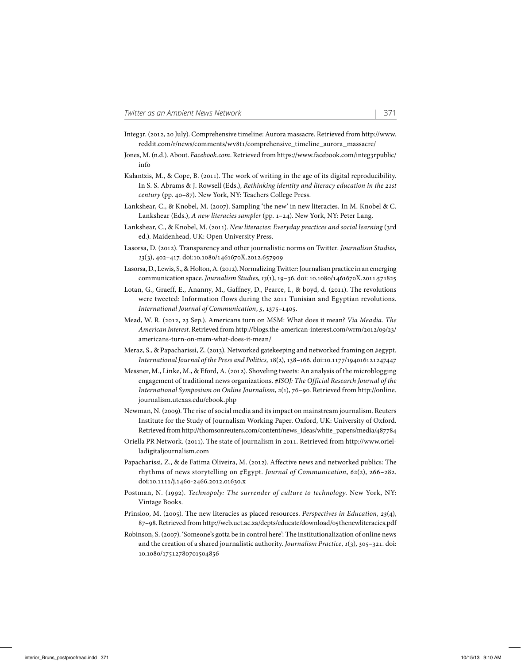- Integ3r. (2012, 20 July). Comprehensive timeline: Aurora massacre. Retrieved from http://www. reddit.com/r/news/comments/wv8t1/comprehensive\_timeline\_aurora\_massacre/
- Jones, M. (n.d.). About. *Facebook.com*. Retrieved from https://www.facebook.com/integ3rpublic/ info
- Kalantzis, M., & Cope, B. (2011). The work of writing in the age of its digital reproducibility. In S. S. Abrams & J. Rowsell (Eds.), *Rethinking identity and literacy education in the* 21*st century* (pp. 40–87). New York, NY: Teachers College Press.
- Lankshear, C., & Knobel, M. (2007). Sampling 'the new' in new literacies. In M. Knobel & C. Lankshear (Eds.), *A new literacies sampler* (pp. 1–24). New York, NY: Peter Lang.
- Lankshear, C., & Knobel, M. (2011). *New literacies: Everyday practices and social learning* (3rd ed.). Maidenhead, UK: Open University Press.
- Lasorsa, D. (2012). Transparency and other journalistic norms on Twitter. *Journalism Studies*, 13(3), 402–417. doi:10.1080/1461670X.2012.657909
- Lasorsa, D., Lewis, S., & Holton, A. (2012). Normalizing Twitter: Journalism practice in an emerging communication space. *Journalism Studies*, 13(1), 19–36. doi: 10.1080/1461670X.2011.571825
- Lotan, G., Graeff, E., Ananny, M., Gaffney, D., Pearce, I., & boyd, d. (2011). The revolutions were tweeted: Information flows during the 2011 Tunisian and Egyptian revolutions. *International Journal of Communication*, 5, 1375–1405.
- Mead, W. R. (2012, 23 Sep.). Americans turn on MSM: What does it mean? *Via Meadia*. *The American Interest*. Retrieved from http://blogs.the-american-interest.com/wrm/2012/09/23/ americans-turn-on-msm-what-does-it-mean/
- Meraz, S., & Papacharissi, Z. (2013). Networked gatekeeping and networked framing on #egypt. *International Journal of the Press and Politics,* 18(2), 138–166. doi:10.1177/194016121247447
- Messner, M., Linke, M., & Eford, A. (2012). Shoveling tweets: An analysis of the microblogging engagement of traditional news organizations. #*ISOJ: The Official Research Journal of the International Symposium on Online Journalism*, 2(1), 76–90. Retrieved from http://online. journalism.utexas.edu/ebook.php
- Newman, N. (2009). The rise of social media and its impact on mainstream journalism. Reuters Institute for the Study of Journalism Working Paper. Oxford, UK: University of Oxford. Retrieved from http://thomsonreuters.com/content/news\_ideas/white\_papers/media/487784
- Oriella PR Network. (2011). The state of journalism in 2011. Retrieved from http://www.orielladigitaljournalism.com
- Papacharissi, Z., & de Fatima Oliveira, M. (2012). Affective news and networked publics: The rhythms of news storytelling on #Egypt. *Journal of Communication*, 62(2), 266–282. doi:10.1111/j.1460-2466.2012.01630.x
- Postman, N. (1992). *Technopoly: The surrender of culture to technology*. New York, NY: Vintage Books.
- Prinsloo, M. (2005). The new literacies as placed resources. *Perspectives in Education*, 23(4), 87–98. Retrieved from http://web.uct.ac.za/depts/educate/download/05thenewliteracies.pdf
- Robinson, S. (2007). 'Someone's gotta be in control here': The institutionalization of online news and the creation of a shared journalistic authority. *Journalism Practice*, 1(3), 305–321. doi: 10.1080/17512780701504856